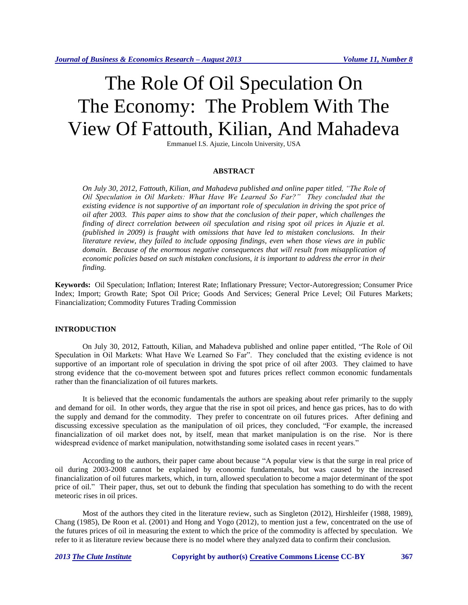# The Role Of Oil Speculation On The Economy: The Problem With The View Of Fattouth, Kilian, And Mahadeva

Emmanuel I.S. Ajuzie, Lincoln University, USA

#### **ABSTRACT**

*On July 30, 2012, Fattouth, Kilian, and Mahadeva published and online paper titled, "The Role of Oil Speculation in Oil Markets: What Have We Learned So Far?" They concluded that the existing evidence is not supportive of an important role of speculation in driving the spot price of oil after 2003. This paper aims to show that the conclusion of their paper, which challenges the finding of direct correlation between oil speculation and rising spot oil prices in Ajuzie et al. (published in 2009) is fraught with omissions that have led to mistaken conclusions. In their literature review, they failed to include opposing findings, even when those views are in public domain. Because of the enormous negative consequences that will result from misapplication of economic policies based on such mistaken conclusions, it is important to address the error in their finding.* 

**Keywords:** Oil Speculation; Inflation; Interest Rate; Inflationary Pressure; Vector-Autoregression; Consumer Price Index; Import; Growth Rate; Spot Oil Price; Goods And Services; General Price Level; Oil Futures Markets; Financialization; Commodity Futures Trading Commission

#### **INTRODUCTION**

On July 30, 2012, Fattouth, Kilian, and Mahadeva published and online paper entitled, "The Role of Oil Speculation in Oil Markets: What Have We Learned So Far". They concluded that the existing evidence is not supportive of an important role of speculation in driving the spot price of oil after 2003. They claimed to have strong evidence that the co-movement between spot and futures prices reflect common economic fundamentals rather than the financialization of oil futures markets.

It is believed that the economic fundamentals the authors are speaking about refer primarily to the supply and demand for oil. In other words, they argue that the rise in spot oil prices, and hence gas prices, has to do with the supply and demand for the commodity. They prefer to concentrate on oil futures prices. After defining and discussing excessive speculation as the manipulation of oil prices, they concluded, "For example, the increased financialization of oil market does not, by itself, mean that market manipulation is on the rise. Nor is there widespread evidence of market manipulation, notwithstanding some isolated cases in recent years."

According to the authors, their paper came about because "A popular view is that the surge in real price of oil during 2003-2008 cannot be explained by economic fundamentals, but was caused by the increased financialization of oil futures markets, which, in turn, allowed speculation to become a major determinant of the spot price of oil." Their paper, thus, set out to debunk the finding that speculation has something to do with the recent meteoric rises in oil prices.

Most of the authors they cited in the literature review, such as Singleton (2012), Hirshleifer (1988, 1989), Chang (1985), De Roon et al. (2001) and Hong and Yogo (2012), to mention just a few, concentrated on the use of the futures prices of oil in measuring the extent to which the price of the commodity is affected by speculation. We refer to it as literature review because there is no model where they analyzed data to confirm their conclusion.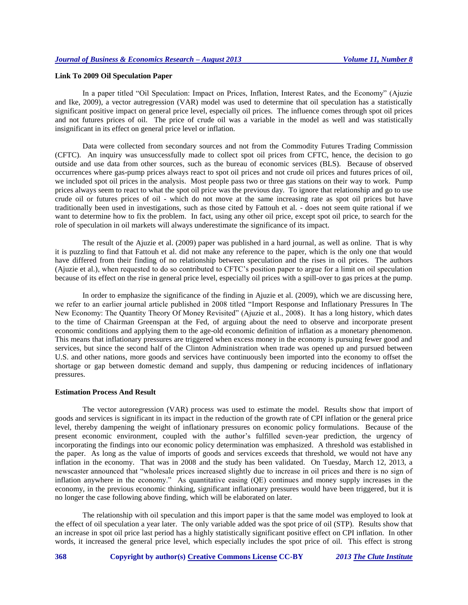### **Link To 2009 Oil Speculation Paper**

In a paper titled "Oil Speculation: Impact on Prices, Inflation, Interest Rates, and the Economy" (Ajuzie and Ike, 2009), a vector autregression (VAR) model was used to determine that oil speculation has a statistically significant positive impact on general price level, especially oil prices. The influence comes through spot oil prices and not futures prices of oil. The price of crude oil was a variable in the model as well and was statistically insignificant in its effect on general price level or inflation.

Data were collected from secondary sources and not from the Commodity Futures Trading Commission (CFTC). An inquiry was unsuccessfully made to collect spot oil prices from CFTC, hence, the decision to go outside and use data from other sources, such as the bureau of economic services (BLS). Because of observed occurrences where gas-pump prices always react to spot oil prices and not crude oil prices and futures prices of oil, we included spot oil prices in the analysis. Most people pass two or three gas stations on their way to work. Pump prices always seem to react to what the spot oil price was the previous day. To ignore that relationship and go to use crude oil or futures prices of oil - which do not move at the same increasing rate as spot oil prices but have traditionally been used in investigations, such as those cited by Fattouh et al. - does not seem quite rational if we want to determine how to fix the problem. In fact, using any other oil price, except spot oil price, to search for the role of speculation in oil markets will always underestimate the significance of its impact.

The result of the Ajuzie et al. (2009) paper was published in a hard journal, as well as online. That is why it is puzzling to find that Fattouh et al. did not make any reference to the paper, which is the only one that would have differed from their finding of no relationship between speculation and the rises in oil prices. The authors (Ajuzie et al.), when requested to do so contributed to CFTC's position paper to argue for a limit on oil speculation because of its effect on the rise in general price level, especially oil prices with a spill-over to gas prices at the pump.

In order to emphasize the significance of the finding in Ajuzie et al. (2009), which we are discussing here, we refer to an earlier journal article published in 2008 titled "Import Response and Inflationary Pressures In The New Economy: The Quantity Theory Of Money Revisited" (Ajuzie et al., 2008). It has a long history, which dates to the time of Chairman Greenspan at the Fed, of arguing about the need to observe and incorporate present economic conditions and applying them to the age-old economic definition of inflation as a monetary phenomenon. This means that inflationary pressures are triggered when excess money in the economy is pursuing fewer good and services, but since the second half of the Clinton Administration when trade was opened up and pursued between U.S. and other nations, more goods and services have continuously been imported into the economy to offset the shortage or gap between domestic demand and supply, thus dampening or reducing incidences of inflationary pressures.

#### **Estimation Process And Result**

The vector autoregression (VAR) process was used to estimate the model. Results show that import of goods and services is significant in its impact in the reduction of the growth rate of CPI inflation or the general price level, thereby dampening the weight of inflationary pressures on economic policy formulations. Because of the present economic environment, coupled with the author's fulfilled seven-year prediction, the urgency of incorporating the findings into our economic policy determination was emphasized. A threshold was established in the paper. As long as the value of imports of goods and services exceeds that threshold, we would not have any inflation in the economy. That was in 2008 and the study has been validated. On Tuesday, March 12, 2013, a newscaster announced that "wholesale prices increased slightly due to increase in oil prices and there is no sign of inflation anywhere in the economy." As quantitative easing (QE) continues and money supply increases in the economy, in the previous economic thinking, significant inflationary pressures would have been triggered, but it is no longer the case following above finding, which will be elaborated on later.

The relationship with oil speculation and this import paper is that the same model was employed to look at the effect of oil speculation a year later. The only variable added was the spot price of oil (STP). Results show that an increase in spot oil price last period has a highly statistically significant positive effect on CPI inflation. In other words, it increased the general price level, which especially includes the spot price of oil. This effect is strong

**368 Copyright by author(s) Creative Commons License CC-BY** *2013 The Clute Institute*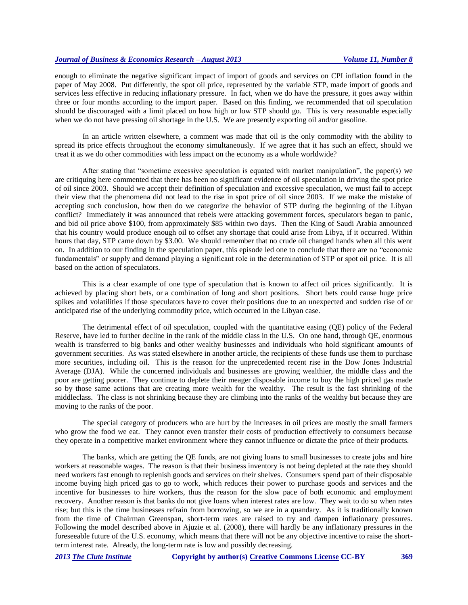## *Journal of Business & Economics Research – August 2013 Volume 11, Number 8*

enough to eliminate the negative significant impact of import of goods and services on CPI inflation found in the paper of May 2008. Put differently, the spot oil price, represented by the variable STP, made import of goods and services less effective in reducing inflationary pressure. In fact, when we do have the pressure, it goes away within three or four months according to the import paper. Based on this finding, we recommended that oil speculation should be discouraged with a limit placed on how high or low STP should go. This is very reasonable especially when we do not have pressing oil shortage in the U.S. We are presently exporting oil and/or gasoline.

In an article written elsewhere, a comment was made that oil is the only commodity with the ability to spread its price effects throughout the economy simultaneously. If we agree that it has such an effect, should we treat it as we do other commodities with less impact on the economy as a whole worldwide?

After stating that "sometime excessive speculation is equated with market manipulation", the paper(s) we are critiquing here commented that there has been no significant evidence of oil speculation in driving the spot price of oil since 2003. Should we accept their definition of speculation and excessive speculation, we must fail to accept their view that the phenomena did not lead to the rise in spot price of oil since 2003. If we make the mistake of accepting such conclusion, how then do we categorize the behavior of STP during the beginning of the Libyan conflict? Immediately it was announced that rebels were attacking government forces, speculators began to panic, and bid oil price above \$100, from approximately \$85 within two days. Then the King of Saudi Arabia announced that his country would produce enough oil to offset any shortage that could arise from Libya, if it occurred. Within hours that day, STP came down by \$3.00. We should remember that no crude oil changed hands when all this went on. In addition to our finding in the speculation paper, this episode led one to conclude that there are no "economic fundamentals" or supply and demand playing a significant role in the determination of STP or spot oil price. It is all based on the action of speculators.

This is a clear example of one type of speculation that is known to affect oil prices significantly. It is achieved by placing short bets, or a combination of long and short positions. Short bets could cause huge price spikes and volatilities if those speculators have to cover their positions due to an unexpected and sudden rise of or anticipated rise of the underlying commodity price, which occurred in the Libyan case.

The detrimental effect of oil speculation, coupled with the quantitative easing (QE) policy of the Federal Reserve, have led to further decline in the rank of the middle class in the U.S. On one hand, through QE, enormous wealth is transferred to big banks and other wealthy businesses and individuals who hold significant amounts of government securities. As was stated elsewhere in another article, the recipients of these funds use them to purchase more securities, including oil. This is the reason for the unprecedented recent rise in the Dow Jones Industrial Average (DJA). While the concerned individuals and businesses are growing wealthier, the middle class and the poor are getting poorer. They continue to deplete their meager disposable income to buy the high priced gas made so by those same actions that are creating more wealth for the wealthy. The result is the fast shrinking of the middleclass. The class is not shrinking because they are climbing into the ranks of the wealthy but because they are moving to the ranks of the poor.

The special category of producers who are hurt by the increases in oil prices are mostly the small farmers who grow the food we eat. They cannot even transfer their costs of production effectively to consumers because they operate in a competitive market environment where they cannot influence or dictate the price of their products.

The banks, which are getting the QE funds, are not giving loans to small businesses to create jobs and hire workers at reasonable wages. The reason is that their business inventory is not being depleted at the rate they should need workers fast enough to replenish goods and services on their shelves. Consumers spend part of their disposable income buying high priced gas to go to work, which reduces their power to purchase goods and services and the incentive for businesses to hire workers, thus the reason for the slow pace of both economic and employment recovery. Another reason is that banks do not give loans when interest rates are low. They wait to do so when rates rise; but this is the time businesses refrain from borrowing, so we are in a quandary. As it is traditionally known from the time of Chairman Greenspan, short-term rates are raised to try and dampen inflationary pressures. Following the model described above in Ajuzie et al. (2008), there will hardly be any inflationary pressures in the foreseeable future of the U.S. economy, which means that there will not be any objective incentive to raise the shortterm interest rate. Already, the long-term rate is low and possibly decreasing.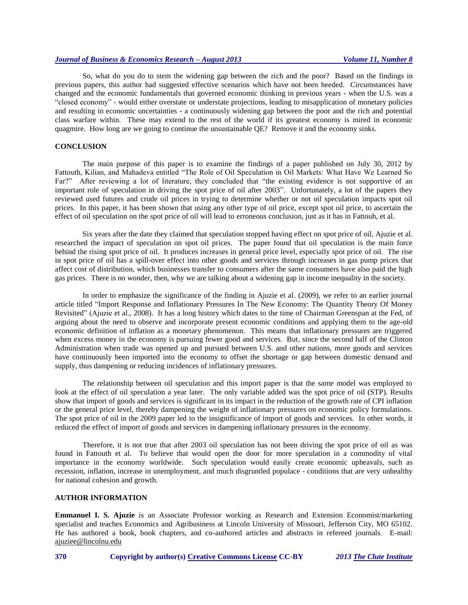## *Journal of Business & Economics Research – August 2013 Volume 11, Number 8*

So, what do you do to stem the widening gap between the rich and the poor? Based on the findings in previous papers, this author had suggested effective scenarios which have not been heeded. Circumstances have changed and the economic fundamentals that governed economic thinking in previous years - when the U.S. was a "closed economy" - would either overstate or understate projections, leading to misapplication of monetary policies and resulting in economic uncertainties - a continuously widening gap between the poor and the rich and potential class warfare within. These may extend to the rest of the world if its greatest economy is mired in economic quagmire. How long are we going to continue the unsustainable QE? Remove it and the economy sinks.

### **CONCLUSION**

The main purpose of this paper is to examine the findings of a paper published on July 30, 2012 by Fattouth, Kilian, and Mahadeva entitled "The Role of Oil Speculation in Oil Markets: What Have We Learned So Far?" After reviewing a lot of literature, they concluded that "the existing evidence is not supportive of an important role of speculation in driving the spot price of oil after 2003". Unfortunately, a lot of the papers they reviewed used futures and crude oil prices in trying to determine whether or not oil speculation impacts spot oil prices. In this paper, it has been shown that using any other type of oil price, except spot oil price, to ascertain the effect of oil speculation on the spot price of oil will lead to erroneous conclusion, just as it has in Fattouh, et al.

Six years after the date they claimed that speculation stopped having effect on spot price of oil, Ajuzie et al. researched the impact of speculation on spot oil prices. The paper found that oil speculation is the main force behind the rising spot price of oil. It produces increases in general price level, especially spot price of oil. The rise in spot price of oil has a spill-over effect into other goods and services through increases in gas pump prices that affect cost of distribution, which businesses transfer to consumers after the same consumers have also paid the high gas prices. There is no wonder, then, why we are talking about a widening gap in income inequality in the society.

In order to emphasize the significance of the finding in Ajuzie et al. (2009), we refer to an earlier journal article titled "Import Response and Inflationary Pressures In The New Economy: The Quantity Theory Of Money Revisited" (Ajuzie et al., 2008). It has a long history which dates to the time of Chairman Greenspan at the Fed, of arguing about the need to observe and incorporate present economic conditions and applying them to the age-old economic definition of inflation as a monetary phenomenon. This means that inflationary pressures are triggered when excess money in the economy is pursuing fewer good and services. But, since the second half of the Clinton Administration when trade was opened up and pursued between U.S. and other nations, more goods and services have continuously been imported into the economy to offset the shortage or gap between domestic demand and supply, thus dampening or reducing incidences of inflationary pressures.

The relationship between oil speculation and this import paper is that the same model was employed to look at the effect of oil speculation a year later. The only variable added was the spot price of oil (STP). Results show that import of goods and services is significant in its impact in the reduction of the growth rate of CPI inflation or the general price level, thereby dampening the weight of inflationary pressures on economic policy formulations. The spot price of oil in the 2009 paper led to the insignificance of import of goods and services. In other words, it reduced the effect of import of goods and services in dampening inflationary pressures in the economy.

Therefore, it is not true that after 2003 oil speculation has not been driving the spot price of oil as was found in Fattouth et al. To believe that would open the door for more speculation in a commodity of vital importance in the economy worldwide. Such speculation would easily create economic upheavals, such as recession, inflation, increase in unemployment, and much disgruntled populace - conditions that are very unhealthy for national cohesion and growth.

#### **AUTHOR INFORMATION**

**Emmanuel I. S. Ajuzie** is an Associate Professor working as Research and Extension Economist/marketing specialist and teaches Economics and Agribusiness at Lincoln University of Missouri, Jefferson City, MO 65102. He has authored a book, book chapters, and co-authored articles and abstracts in refereed journals. E-mail: ajuziee@lincolnu.edu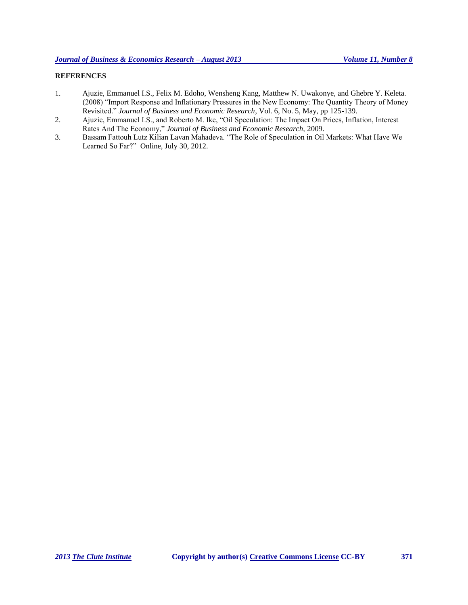## **REFERENCES**

- 1. Ajuzie, Emmanuel I.S., Felix M. Edoho, Wensheng Kang, Matthew N. Uwakonye, and Ghebre Y. Keleta. (2008) "Import Response and Inflationary Pressures in the New Economy: The Quantity Theory of Money Revisited." *Journal of Business and Economic Research*, Vol. 6, No. 5, May, pp 125-139.
- 2. Ajuzie, Emmanuel I.S., and Roberto M. Ike, "Oil Speculation: The Impact On Prices, Inflation, Interest Rates And The Economy," *Journal of Business and Economic Research,* 2009.
- 3. Bassam Fattouh Lutz Kilian Lavan Mahadeva. "The Role of Speculation in Oil Markets: What Have We Learned So Far?" Online, July 30, 2012.